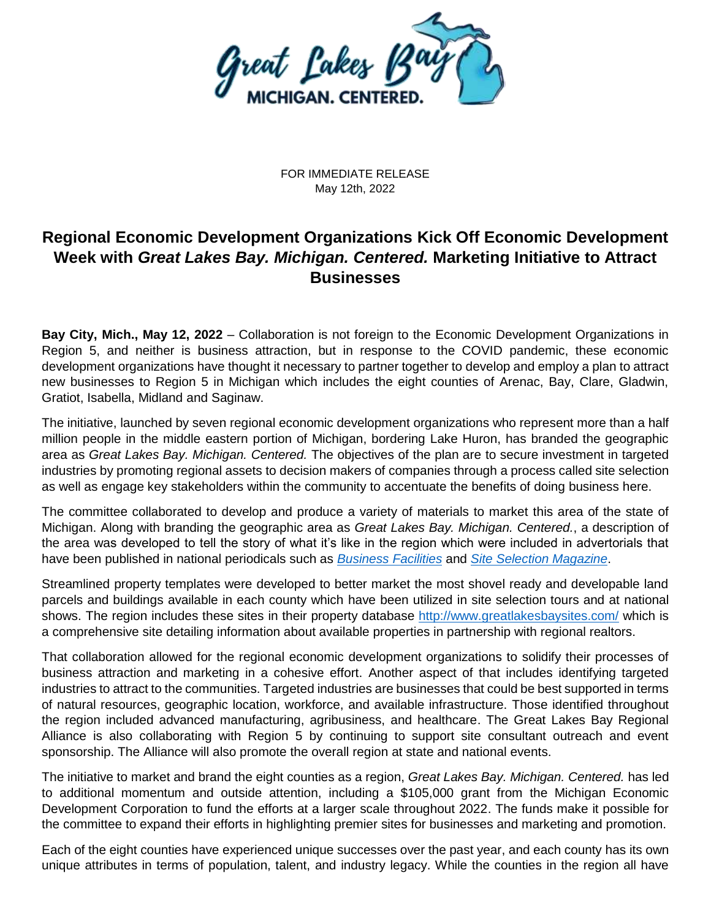

FOR IMMEDIATE RELEASE May 12th, 2022

# **Regional Economic Development Organizations Kick Off Economic Development Week with** *Great Lakes Bay. Michigan. Centered.* **Marketing Initiative to Attract Businesses**

**Bay City, Mich., May 12, 2022** – Collaboration is not foreign to the Economic Development Organizations in Region 5, and neither is business attraction, but in response to the COVID pandemic, these economic development organizations have thought it necessary to partner together to develop and employ a plan to attract new businesses to Region 5 in Michigan which includes the eight counties of Arenac, Bay, Clare, Gladwin, Gratiot, Isabella, Midland and Saginaw.

The initiative, launched by seven regional economic development organizations who represent more than a half million people in the middle eastern portion of Michigan, bordering Lake Huron, has branded the geographic area as *Great Lakes Bay. Michigan. Centered.* The objectives of the plan are to secure investment in targeted industries by promoting regional assets to decision makers of companies through a process called site selection as well as engage key stakeholders within the community to accentuate the benefits of doing business here.

The committee collaborated to develop and produce a variety of materials to market this area of the state of Michigan. Along with branding the geographic area as *Great Lakes Bay. Michigan. Centered.*, a description of the area was developed to tell the story of what it's like in the region which were included in advertorials that have been published in national periodicals such as *[Business Facilities](https://lsc-pagepro.mydigitalpublication.com/publication/?m=17443&i=737221&p=34&ver=html5)* and *[Site Selection Magazine](https://siteselection.com/issues/2022/jan/data/Michigan.pdf)*.

Streamlined property templates were developed to better market the most shovel ready and developable land parcels and buildings available in each county which have been utilized in site selection tours and at national shows. The region includes these sites in their property database<http://www.greatlakesbaysites.com/> which is a comprehensive site detailing information about available properties in partnership with regional realtors.

That collaboration allowed for the regional economic development organizations to solidify their processes of business attraction and marketing in a cohesive effort. Another aspect of that includes identifying targeted industries to attract to the communities. Targeted industries are businesses that could be best supported in terms of natural resources, geographic location, workforce, and available infrastructure. Those identified throughout the region included advanced manufacturing, agribusiness, and healthcare. The Great Lakes Bay Regional Alliance is also collaborating with Region 5 by continuing to support site consultant outreach and event sponsorship. The Alliance will also promote the overall region at state and national events.

The initiative to market and brand the eight counties as a region, *Great Lakes Bay. Michigan. Centered.* has led to additional momentum and outside attention, including a \$105,000 grant from the Michigan Economic Development Corporation to fund the efforts at a larger scale throughout 2022. The funds make it possible for the committee to expand their efforts in highlighting premier sites for businesses and marketing and promotion.

Each of the eight counties have experienced unique successes over the past year, and each county has its own unique attributes in terms of population, talent, and industry legacy. While the counties in the region all have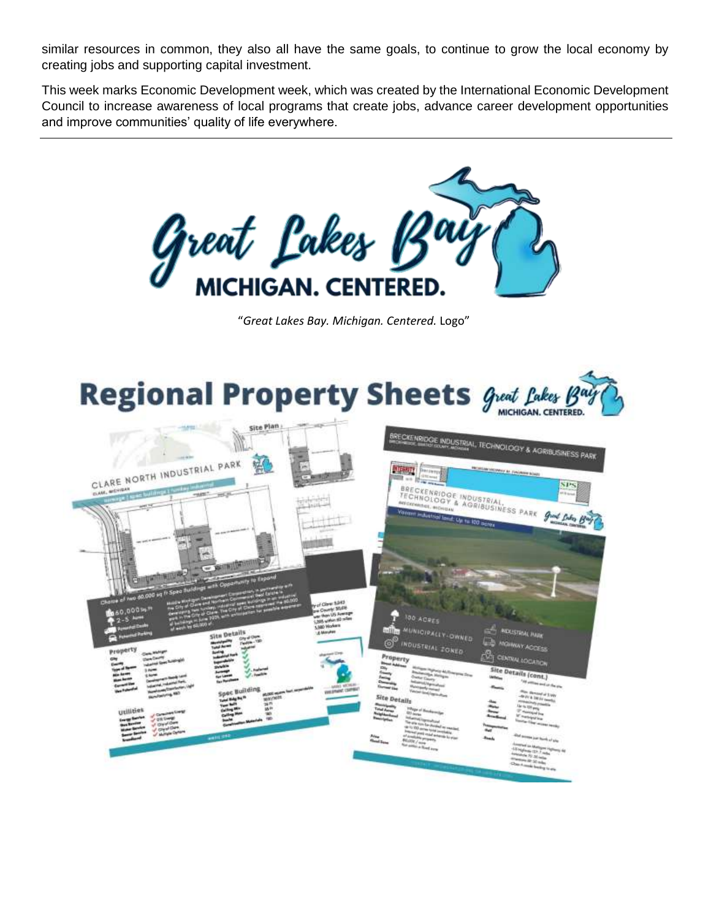similar resources in common, they also all have the same goals, to continue to grow the local economy by creating jobs and supporting capital investment.

This week marks Economic Development week, which was created by the International Economic Development Council to increase awareness of local programs that create jobs, advance career development opportunities and improve communities' quality of life everywhere.



"*Great Lakes Bay. Michigan. Centered.* Logo"

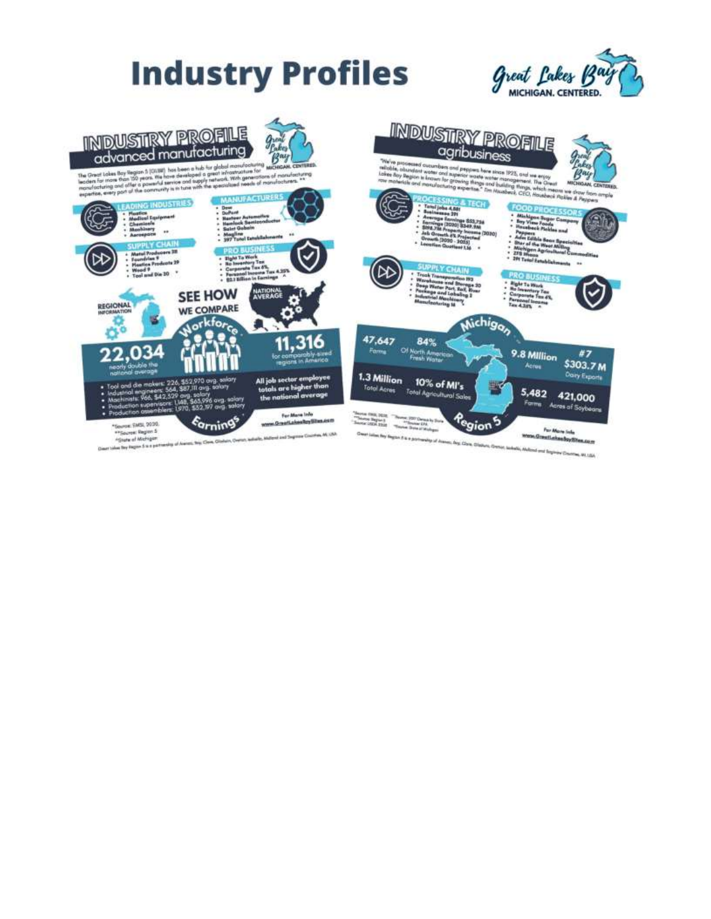



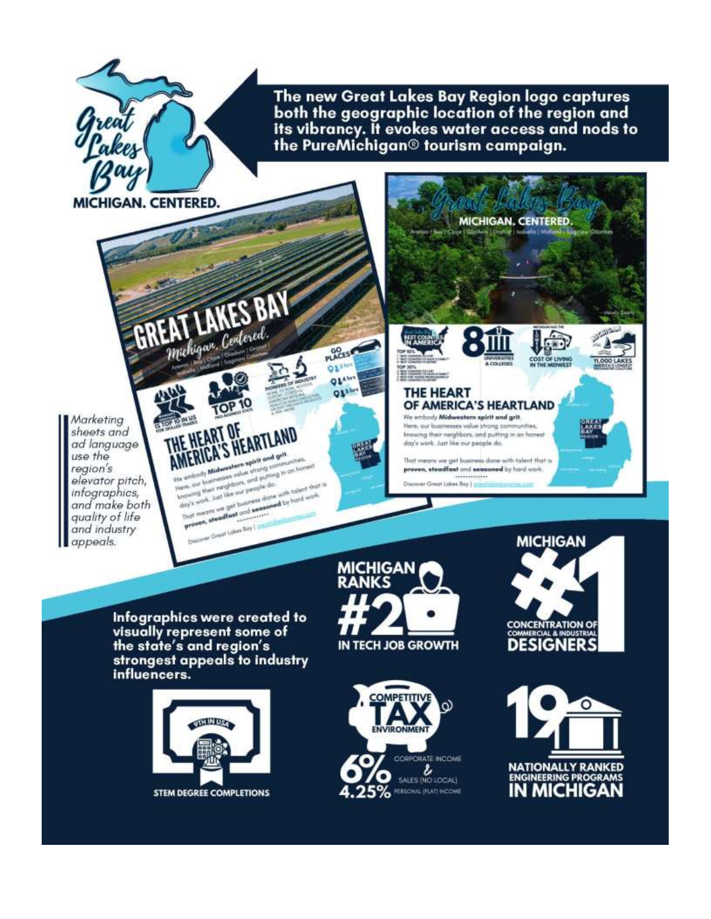